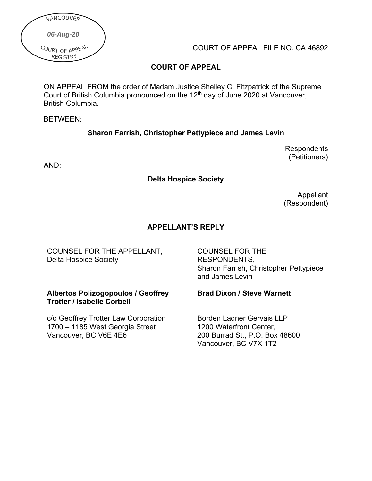

COURT OF APPEAL FILE NO. CA 46892

# **COURT OF APPEAL**

ON APPEAL FROM the order of Madam Justice Shelley C. Fitzpatrick of the Supreme Court of British Columbia pronounced on the 12th day of June 2020 at Vancouver, British Columbia.

#### BETWEEN:

## **Sharon Farrish, Christopher Pettypiece and James Levin**

**Delta Hospice Society**

AND:

Appellant (Respondent)

**Respondents** (Petitioners)

# **APPELLANT'S REPLY**

COUNSEL FOR THE APPELLANT, Delta Hospice Society

### **Albertos Polizogopoulos / Geoffrey Trotter / Isabelle Corbeil**

c/o Geoffrey Trotter Law Corporation 1700 – 1185 West Georgia Street Vancouver, BC V6E 4E6

### COUNSEL FOR THE RESPONDENTS, Sharon Farrish, Christopher Pettypiece and James Levin

# **Brad Dixon / Steve Warnett**

Borden Ladner Gervais LLP 1200 Waterfront Center, 200 Burrad St., P.O. Box 48600 Vancouver, BC V7X 1T2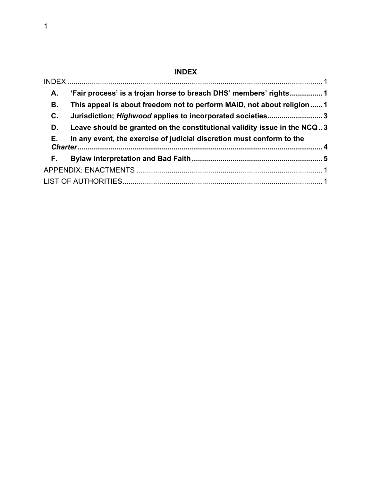# **INDEX**

<span id="page-1-0"></span>

| А. | 'Fair process' is a trojan horse to breach DHS' members' rights1         |  |
|----|--------------------------------------------------------------------------|--|
| В. | This appeal is about freedom not to perform MAiD, not about religion 1   |  |
| C. | Jurisdiction; Highwood applies to incorporated societies3                |  |
| D. | Leave should be granted on the constitutional validity issue in the NCQ3 |  |
| Е. | In any event, the exercise of judicial discretion must conform to the    |  |
| F. |                                                                          |  |
|    |                                                                          |  |
|    |                                                                          |  |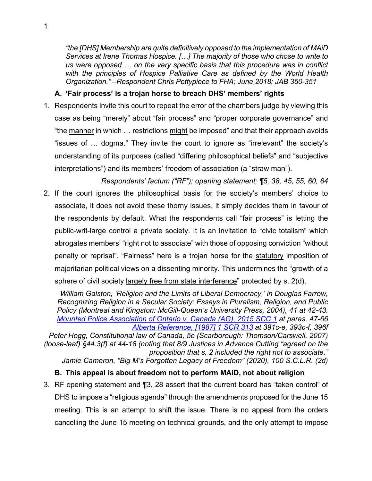*"the [DHS] Membership are quite definitively opposed to the implementation of MAiD Services at Irene Thomas Hospice. […] The majority of those who chose to write to us were opposed … on the very specific basis that this procedure was in conflict with the principles of Hospice Palliative Care as defined by the World Health Organization." –Respondent Chris Pettypiece to FHA; June 2018; JAB 350-351*

# <span id="page-2-0"></span>**A. 'Fair process' is a trojan horse to breach DHS' members' rights**

- 1. Respondents invite this court to repeat the error of the chambers judge by viewing this case as being "merely" about "fair process" and "proper corporate governance" and "the manner in which … restrictions might be imposed" and that their approach avoids "issues of … dogma." They invite the court to ignore as "irrelevant" the society's understanding of its purposes (called "differing philosophical beliefs" and "subjective interpretations") and its members' freedom of association (a "straw man").
- *Respondents' factum ("RF"); opening statement; ¶5, 38, 45, 55, 60, 64* 2. If the court ignores the philosophical basis for the society's members' choice to associate, it does not avoid these thorny issues, it simply decides them in favour of the respondents by default. What the respondents call "fair process" is letting the public-writ-large control a private society. It is an invitation to "civic totalism" which abrogates members' "right not to associate" with those of opposing conviction "without penalty or reprisal". "Fairness" here is a trojan horse for the statutory imposition of majoritarian political views on a dissenting minority. This undermines the "growth of a sphere of civil society largely free from state interference" protected by s. 2(d).

*William Galston, 'Religion and the Limits of Liberal Democracy,' in Douglas Farrow, Recognizing Religion in a Secular Society: Essays in Pluralism, Religion, and Public Policy (Montreal and Kingston: McGill-Queen's University Press, 2004), 41 at 42-43. [Mounted Police Association of Ontario v. Canada \(AG\), 2015 SCC 1](https://www.canlii.org/en/ca/scc/doc/2015/2015scc1/2015scc1.html?autocompleteStr=2015%20SCC%201%20&autocompletePos=1) at paras. 47-66 [Alberta Reference, \[1987\] 1 SCR 313](https://www.canlii.org/en/ca/scc/doc/1987/1987canlii88/1987canlii88.pdf) at 391c-e, 393c-f, 396f*

*Peter Hogg, Constitutional law of Canada, 5e (Scarborough: Thomson/Carswell, 2007) (loose-leaf) §44.3(f) at 44-18 (noting that 8/9 Justices in Advance Cutting "agreed on the proposition that s. 2 included the right not to associate." Jamie Cameron, "Big M's Forgotten Legacy of Freedom" (2020), 100 S.C.L.R. (2d)*

# <span id="page-2-1"></span>**B. This appeal is about freedom not to perform MAiD, not about religion**

3. RF opening statement and ¶3, 28 assert that the current board has "taken control" of DHS to impose a "religious agenda" through the amendments proposed for the June 15 meeting. This is an attempt to shift the issue. There is no appeal from the orders cancelling the June 15 meeting on technical grounds, and the only attempt to impose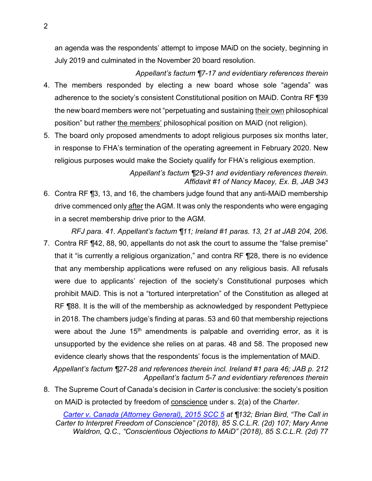an agenda was the respondents' attempt to impose MAiD on the society, beginning in July 2019 and culminated in the November 20 board resolution.

- *Appellant's factum ¶7-17 and evidentiary references therein* 4. The members responded by electing a new board whose sole "agenda" was adherence to the society's consistent Constitutional position on MAiD. Contra RF ¶39 the new board members were not "perpetuating and sustaining their own philosophical position" but rather the members' philosophical position on MAiD (not religion).
- 5. The board only proposed amendments to adopt religious purposes six months later, in response to FHA's termination of the operating agreement in February 2020. New religious purposes would make the Society qualify for FHA's religious exemption.

*Appellant's factum ¶29-31 and evidentiary references therein. Affidavit #1 of Nancy Macey, Ex. B, JAB 343*

6. Contra RF ¶3, 13, and 16, the chambers judge found that any anti-MAiD membership drive commenced only after the AGM. It was only the respondents who were engaging in a secret membership drive prior to the AGM.

*RFJ para. 41. Appellant's factum ¶11; Ireland #1 paras. 13, 21 at JAB 204, 206.*

7. Contra RF ¶42, 88, 90, appellants do not ask the court to assume the "false premise" that it "is currently a religious organization," and contra RF ¶28, there is no evidence that any membership applications were refused on any religious basis. All refusals were due to applicants' rejection of the society's Constitutional purposes which prohibit MAiD. This is not a "tortured interpretation" of the Constitution as alleged at RF ¶88. It is the will of the membership as acknowledged by respondent Pettypiece in 2018. The chambers judge's finding at paras. 53 and 60 that membership rejections were about the June  $15<sup>th</sup>$  amendments is palpable and overriding error, as it is unsupported by the evidence she relies on at paras. 48 and 58. The proposed new evidence clearly shows that the respondents' focus is the implementation of MAiD.

*Appellant's factum ¶27-28 and references therein incl. Ireland #1 para 46; JAB p. 212 Appellant's factum 5-7 and evidentiary references therein*

8. The Supreme Court of Canada's decision in *Carter* is conclusive: the society's position on MAiD is protected by freedom of conscience under s. 2(a) of the *Charter*.

*[Carter v. Canada \(Attorney General\), 2015 SCC 5](https://www.canlii.org/en/ca/scc/doc/2015/2015scc5/2015scc5.pdf) at ¶132; Brian Bird, "The Call in Carter to Interpret Freedom of Conscience" (2018), 85 S.C.L.R. (2d) 107; Mary Anne Waldron, Q.C., "Conscientious Objections to MAiD" (2018), 85 S.C.L.R. (2d) 77*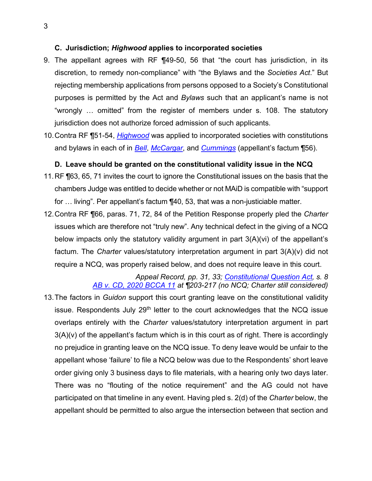#### <span id="page-4-0"></span>**C. Jurisdiction;** *Highwood* **applies to incorporated societies**

- 9. The appellant agrees with RF ¶49-50, 56 that "the court has jurisdiction, in its discretion, to remedy non-compliance" with "the Bylaws and the *Societies Act*." But rejecting membership applications from persons opposed to a Society's Constitutional purposes is permitted by the Act and *Bylaws* such that an applicant's name is not "wrongly … omitted" from the register of members under s. 108. The statutory jurisdiction does not authorize forced admission of such applicants.
- 10.Contra RF ¶51-54, *[Highwood](https://www.canlii.org/en/ca/scc/doc/2018/2018scc26/2018scc26.html?searchUrlHash=AAAAAQAPd2FsbCB2LiBqZWhvdmFoAAAAAAE&resultIndex=1)* was applied to incorporated societies with constitutions and bylaws in each of in *[Bell](https://www.canlii.org/en/mb/mbca/doc/2018/2018mbca96/2018mbca96.html?autocompleteStr=Bell%20v.%20Civil%20Air%20Search%20and%20Rescue%20Association%20et%20al%2C%20%202018%20MBCA%2096&autocompletePos=1)*, *[McCargar](https://www.canlii.org/en/ab/abqb/doc/2018/2018abqb553/2018abqb553.html?autocompleteStr=2018%20ABQB%20553%20&autocompletePos=1)*, and *[Cummings](https://www.canlii.org/en/on/onscsm/doc/2018/2018canlii123232/2018canlii123232.html?autocompleteStr=2018%20CanLII%20123232%20&autocompletePos=1)* (appellant's factum ¶56).

#### <span id="page-4-1"></span>**D. Leave should be granted on the constitutional validity issue in the NCQ**

- 11.RF ¶63, 65, 71 invites the court to ignore the Constitutional issues on the basis that the chambers Judge was entitled to decide whether or not MAiD is compatible with "support for … living". Per appellant's factum ¶40, 53, that was a non-justiciable matter.
- 12.Contra RF ¶66, paras. 71, 72, 84 of the Petition Response properly pled the *Charter* issues which are therefore not "truly new". Any technical defect in the giving of a NCQ below impacts only the statutory validity argument in part 3(A)(vi) of the appellant's factum. The *Charter* values/statutory interpretation argument in part 3(A)(v) did not require a NCQ, was properly raised below, and does not require leave in this court.

*Appeal Record, pp. 31, 33; [Constitutional Question Act,](https://www.bclaws.ca/civix/document/id/complete/statreg/96068_01) s. 8 [AB v. CD, 2020 BCCA 11](https://www.canlii.org/en/bc/bcca/doc/2020/2020bcca11/2020bcca11.pdf) at ¶203-217 (no NCQ; Charter still considered)*

13.The factors in *Guidon* support this court granting leave on the constitutional validity issue. Respondents July  $29<sup>th</sup>$  letter to the court acknowledges that the NCQ issue overlaps entirely with the *Charter* values/statutory interpretation argument in part 3(A)(v) of the appellant's factum which is in this court as of right. There is accordingly no prejudice in granting leave on the NCQ issue. To deny leave would be unfair to the appellant whose 'failure' to file a NCQ below was due to the Respondents' short leave order giving only 3 business days to file materials, with a hearing only two days later. There was no "flouting of the notice requirement" and the AG could not have participated on that timeline in any event. Having pled s. 2(d) of the *Charter* below, the appellant should be permitted to also argue the intersection between that section and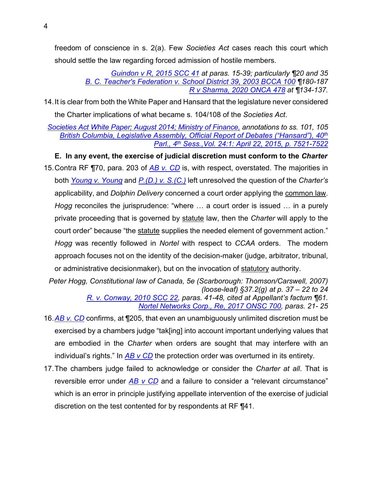freedom of conscience in s. 2(a). Few *Societies Act* cases reach this court which should settle the law regarding forced admission of hostile members.

> *[Guindon v R, 2015 SCC 41](https://www.canlii.org/en/ca/scc/doc/2015/2015scc41/2015scc41.html?autocompleteStr=2015%20SCC%2041&autocompletePos=1) at paras. 15-39; particularly ¶20 and 35 [B. C. Teacher's Federation v. School District 39, 2003 BCCA 100](https://www.canlii.org/en/bc/bcca/doc/2003/2003bcca100/2003bcca100.html?autocompleteStr=2003%20BCCA%20100&autocompletePos=1) ¶180-187 [R v Sharma, 2020 ONCA 478](https://www.canlii.org/en/on/onca/doc/2020/2020onca478/2020onca478.html?autocompleteStr=R%20v%20Sharma%2C%202020%20ONCA%20478&autocompletePos=1) at ¶134-137.*

14.It is clear from both the White Paper and Hansard that the legislature never considered the Charter implications of what became s. 104/108 of the *Societies Act*.

*[Societies Act White Paper; August 2014; Ministry of Finance,](http://societiesact.ca/wp-content/uploads/2018/11/SocietyActWhitePaperArchived.pdf) annotations to ss. 101, 105 [British Columbia, Legislative Assembly, Official Report of Debates \("Hansard"\), 40th](https://www.leg.bc.ca/content/hansard/40th4th/20150422pm-Hansard-v24n1.pdf) Parl., 4th [Sess.,Vol. 24:1: April 22, 2015, p. 7521-7522](https://www.leg.bc.ca/content/hansard/40th4th/20150422pm-Hansard-v24n1.pdf)*

**E. In any event, the exercise of judicial discretion must conform to the** *Charter*

<span id="page-5-0"></span>15.Contra RF ¶70, para. 203 of *[AB v. CD](https://www.canlii.org/en/bc/bcca/doc/2020/2020bcca11/2020bcca11.html?autocompleteStr=AB%20v.%20CD%2C%202020%20BCCA%2011.&autocompletePos=2)* is, with respect, overstated. The majorities in both *[Young v. Young](https://www.canlii.org/en/ca/scc/doc/1993/1993canlii34/1993canlii34.html?autocompleteStr=Young%20v.%20Young&autocompletePos=1)* and *[P.\(D.\) v. S.\(C.\)](https://www.canlii.org/en/ca/scc/doc/1993/1993canlii35/1993canlii35.html?autocompleteStr=P.(D.)%20v.%20S.(C.)%20&autocompletePos=1)* left unresolved the question of the *Charter's*  applicability, and *Dolphin Delivery* concerned a court order applying the common law. *Hogg* reconciles the jurisprudence: "where … a court order is issued … in a purely private proceeding that is governed by statute law, then the *Charter* will apply to the court order" because "the statute supplies the needed element of government action." *Hogg* was recently followed in *Nortel* with respect to *CCAA* orders. The modern approach focuses not on the identity of the decision-maker (judge, arbitrator, tribunal, or administrative decisionmaker), but on the invocation of statutory authority.

*Peter Hogg, Constitutional law of Canada, 5e (Scarborough: Thomson/Carswell, 2007) (loose-leaf) §37.2(g) at p. 37 – 22 to 24*

*[R. v. Conway, 2010 SCC 22,](https://www.canlii.org/en/ca/scc/doc/2010/2010scc22/2010scc22.pdf) paras. 41-48, cited at Appellant's factum ¶61. [Nortel Networks Corp., Re, 2017 ONSC 700,](https://www.canlii.org/en/on/onsc/doc/2017/2017onsc700/2017onsc700.pdf) paras. 21- 25*

- 16.*[AB v. CD](https://www.canlii.org/en/bc/bcca/doc/2020/2020bcca11/2020bcca11.html?autocompleteStr=AB%20v.%20CD%2C%202020%20BCCA%2011.&autocompletePos=2)* confirms, at ¶205, that even an unambiguously unlimited discretion must be exercised by a chambers judge "tak[ing] into account important underlying values that are embodied in the *Charter* when orders are sought that may interfere with an individual's rights." In *[AB v CD](https://www.canlii.org/en/bc/bcca/doc/2020/2020bcca11/2020bcca11.html?autocompleteStr=AB%20v.%20CD%2C%202020%20BCCA%2011.&autocompletePos=2)* the protection order was overturned in its entirety.
- 17.The chambers judge failed to acknowledge or consider the *Charter at all*. That is reversible error under *[AB v CD](https://www.canlii.org/en/bc/bcca/doc/2020/2020bcca11/2020bcca11.html?autocompleteStr=AB%20v.%20CD%2C%202020%20BCCA%2011.&autocompletePos=2)* and a failure to consider a "relevant circumstance" which is an error in principle justifying appellate intervention of the exercise of judicial discretion on the test contented for by respondents at RF ¶41.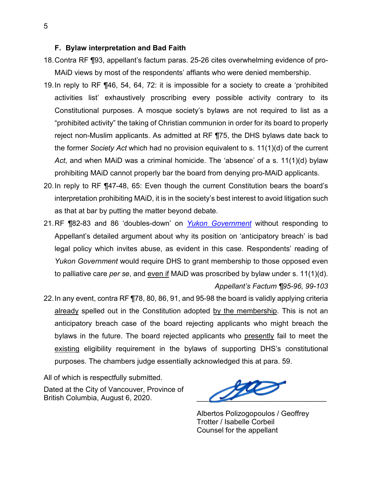#### <span id="page-6-0"></span>**F. Bylaw interpretation and Bad Faith**

- 18.Contra RF ¶93, appellant's factum paras. 25-26 cites overwhelming evidence of pro-MAiD views by most of the respondents' affiants who were denied membership.
- 19.In reply to RF ¶46, 54, 64, 72: it is impossible for a society to create a 'prohibited activities list' exhaustively proscribing every possible activity contrary to its Constitutional purposes. A mosque society's bylaws are not required to list as a "prohibited activity" the taking of Christian communion in order for its board to properly reject non-Muslim applicants. As admitted at RF ¶75, the DHS bylaws date back to the former *Society Act* which had no provision equivalent to s. 11(1)(d) of the current *Act*, and when MAiD was a criminal homicide. The 'absence' of a s. 11(1)(d) bylaw prohibiting MAiD cannot properly bar the board from denying pro-MAiD applicants.
- 20.In reply to RF ¶47-48, 65: Even though the current Constitution bears the board's interpretation prohibiting MAiD, it is in the society's best interest to avoid litigation such as that at bar by putting the matter beyond debate.
- 21.RF ¶82-83 and 86 'doubles-down' on *[Yukon Government](https://www.canlii.org/en/yk/yksc/doc/2013/2013yksc8/2013yksc8.html?autocompleteStr=2013%20YKSC%208%20&autocompletePos=1)* without responding to Appellant's detailed argument about why its position on 'anticipatory breach' is bad legal policy which invites abuse, as evident in this case. Respondents' reading of *Yukon Government* would require DHS to grant membership to those opposed even to palliative care *per se*, and even if MAiD was proscribed by bylaw under s. 11(1)(d). *Appellant's Factum ¶95-96, 99-103*
- 22.In any event, contra RF ¶78, 80, 86, 91, and 95-98 the board is validly applying criteria already spelled out in the Constitution adopted by the membership. This is not an anticipatory breach case of the board rejecting applicants who might breach the bylaws in the future. The board rejected applicants who presently fail to meet the existing eligibility requirement in the bylaws of supporting DHS's constitutional purposes. The chambers judge essentially acknowledged this at para. 59.

All of which is respectfully submitted.

Dated at the City of Vancouver, Province of British Columbia, August 6, 2020.

 $\ell$ 

Albertos Polizogopoulos / Geoffrey Trotter / Isabelle Corbeil Counsel for the appellant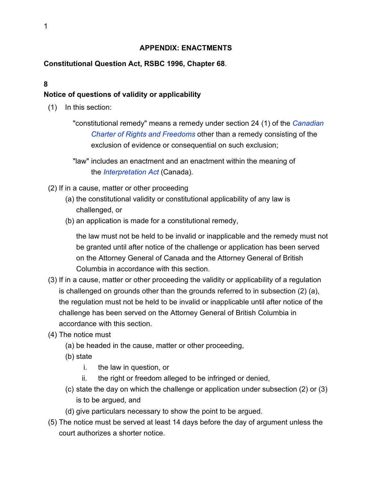# **APPENDIX: ENACTMENTS**

### <span id="page-7-0"></span>**Constitutional Question Act, RSBC 1996, Chapter 68**.

### **8**

## **Notice of questions of validity or applicability**

- (1) In this section:
	- "constitutional remedy" means a remedy under section 24 (1) of the *[Canadian](http://laws-lois.justice.gc.ca/eng/const/page-15.html#docCont)  [Charter of Rights and Freedoms](http://laws-lois.justice.gc.ca/eng/const/page-15.html#docCont)* other than a remedy consisting of the exclusion of evidence or consequential on such exclusion;
	- "law" includes an enactment and an enactment within the meaning of the *[Interpretation Act](http://laws-lois.justice.gc.ca/eng/acts/I-21/index.html)* (Canada).
- (2) If in a cause, matter or other proceeding
	- (a) the constitutional validity or constitutional applicability of any law is challenged, or
	- (b) an application is made for a constitutional remedy,

the law must not be held to be invalid or inapplicable and the remedy must not be granted until after notice of the challenge or application has been served on the Attorney General of Canada and the Attorney General of British Columbia in accordance with this section.

- (3) If in a cause, matter or other proceeding the validity or applicability of a regulation is challenged on grounds other than the grounds referred to in subsection (2) (a), the regulation must not be held to be invalid or inapplicable until after notice of the challenge has been served on the Attorney General of British Columbia in accordance with this section.
- (4) The notice must
	- (a) be headed in the cause, matter or other proceeding,
	- (b) state
		- i. the law in question, or
		- ii. the right or freedom alleged to be infringed or denied,
	- (c) state the day on which the challenge or application under subsection (2) or (3) is to be argued, and
	- (d) give particulars necessary to show the point to be argued.
- (5) The notice must be served at least 14 days before the day of argument unless the court authorizes a shorter notice.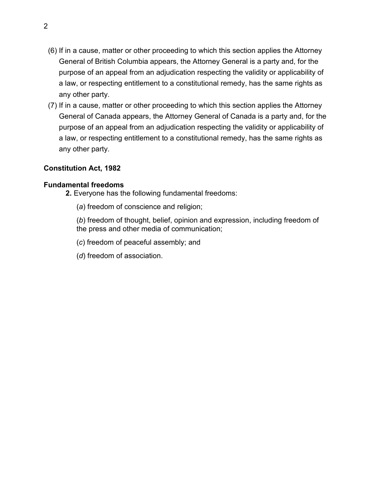- (6) If in a cause, matter or other proceeding to which this section applies the Attorney General of British Columbia appears, the Attorney General is a party and, for the purpose of an appeal from an adjudication respecting the validity or applicability of a law, or respecting entitlement to a constitutional remedy, has the same rights as any other party.
- (7) If in a cause, matter or other proceeding to which this section applies the Attorney General of Canada appears, the Attorney General of Canada is a party and, for the purpose of an appeal from an adjudication respecting the validity or applicability of a law, or respecting entitlement to a constitutional remedy, has the same rights as any other party.

## **Constitution Act, 1982**

### **Fundamental freedoms**

**2.** Everyone has the following fundamental freedoms:

- (*a*) freedom of conscience and religion;
- (*b*) freedom of thought, belief, opinion and expression, including freedom of the press and other media of communication;
- (*c*) freedom of peaceful assembly; and
- (*d*) freedom of association.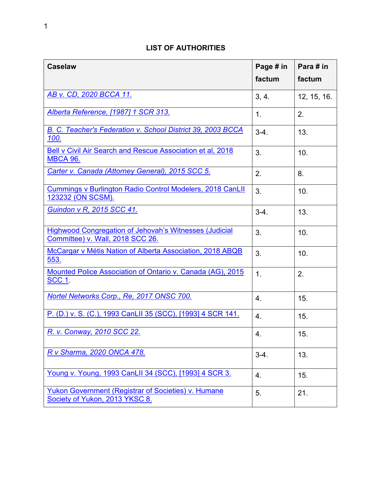# **LIST OF AUTHORITIES**

<span id="page-9-0"></span>

| <b>Caselaw</b>                                                                             | Page # in | Para # in   |
|--------------------------------------------------------------------------------------------|-----------|-------------|
|                                                                                            | factum    | factum      |
| AB v. CD, 2020 BCCA 11.                                                                    | 3, 4.     | 12, 15, 16. |
| Alberta Reference, [1987] 1 SCR 313.                                                       | 1.        | 2.          |
| <b>B. C. Teacher's Federation v. School District 39, 2003 BCCA</b><br><u> 100.</u>         | $3-4.$    | 13.         |
| <b>Bell v Civil Air Search and Rescue Association et al, 2018</b><br><b>MBCA 96.</b>       | 3.        | 10.         |
| Carter v. Canada (Attorney General), 2015 SCC 5.                                           | 2.        | 8.          |
| Cummings v Burlington Radio Control Modelers, 2018 CanLII<br>123232 (ON SCSM).             | 3.        | 10.         |
| <b>Guindon v R, 2015 SCC 41.</b>                                                           | $3-4.$    | 13.         |
| Highwood Congregation of Jehovah's Witnesses (Judicial<br>Committee) v. Wall, 2018 SCC 26. | 3.        | 10.         |
| McCargar v Métis Nation of Alberta Association, 2018 ABQB<br>553.                          | 3.        | 10.         |
| Mounted Police Association of Ontario v. Canada (AG), 2015<br><b>SCC 1</b> .               | 1.        | 2.          |
| Nortel Networks Corp., Re, 2017 ONSC 700.                                                  | 4.        | 15.         |
| P. (D.) v. S. (C.), 1993 CanLII 35 (SCC), [1993] 4 SCR 141.                                | 4.        | 15.         |
| R. v. Conway, 2010 SCC 22.                                                                 | 4.        | 15.         |
| R v Sharma, 2020 ONCA 478.                                                                 | $3-4.$    | 13.         |
| Young v. Young, 1993 CanLII 34 (SCC), [1993] 4 SCR 3.                                      | 4.        | 15.         |
| Yukon Government (Registrar of Societies) v. Humane<br>Society of Yukon, 2013 YKSC 8.      | 5.        | 21.         |